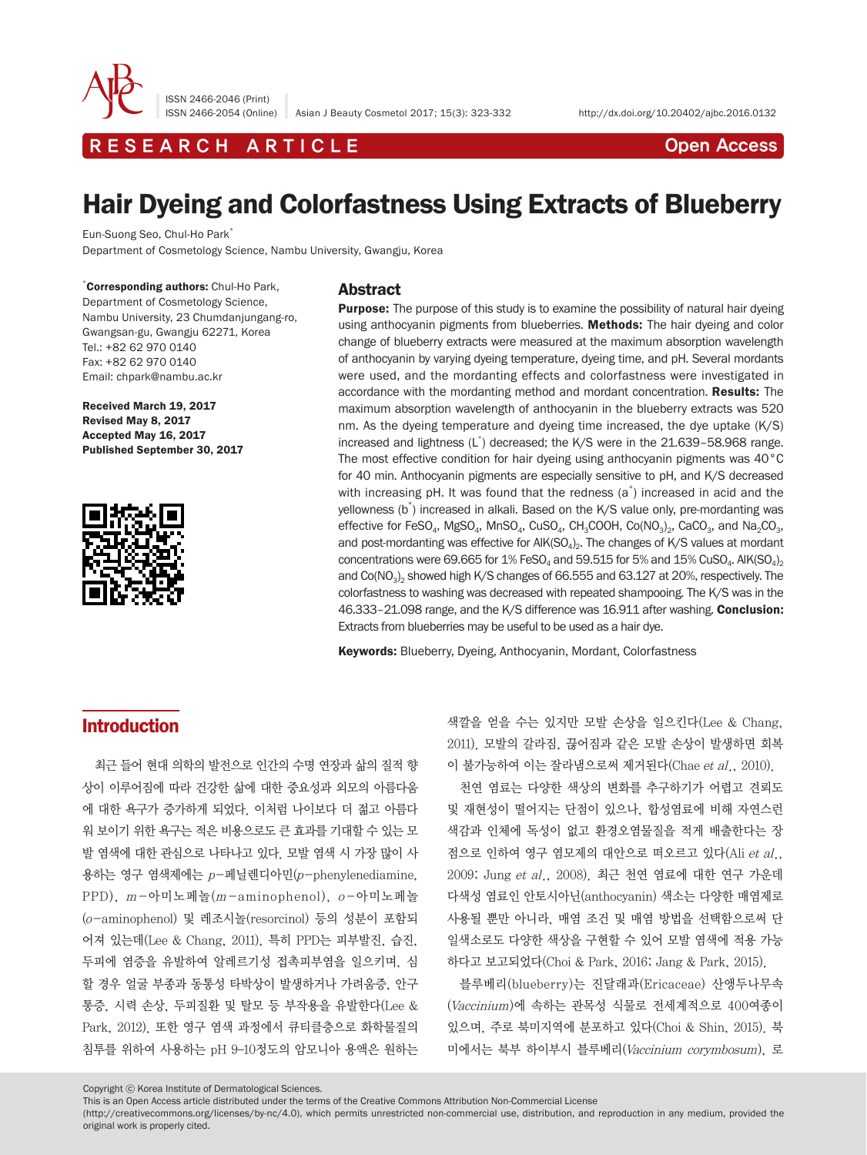

ISSN 2466-2046 (Print)

ISSN 2466-2054 (Online) Asian J Beauty Cosmetol 2017; 15(3): 323-332 http://dx.doi.org/10.20402/ajbc.2016.0132

R E S E A R C H A R T I C L E CHE CONTROLLER THE CONTROLLER CONTROLLER THE CONTROLLER CONTROLLER CONTROLLER CONTROLLER THE CONTROLLER CONTROLLER CONTROLLER CONTROLLER CONTROLLER CONTROLLER CONTROLLER CONTROLLER CONTROLLER

# Hair Dyeing and Colorfastness Using Extracts of Blueberry

Eun-Suong Seo, Chul-Ho Park\*

Department of Cosmetology Science, Nambu University, Gwangju, Korea

\* Corresponding authors: Chul-Ho Park,

Department of Cosmetology Science, Nambu University, 23 Chumdanjungang-ro, Gwangsan-gu, Gwangju 62271, Korea Tel.: +82 62 970 0140 Fax: +82 62 970 0140 Email: chpark@nambu.ac.kr

Received March 19, 2017 Revised May 8, 2017 Accepted May 16, 2017 Published September 30, 2017



# Abstract

**Purpose:** The purpose of this study is to examine the possibility of natural hair dyeing using anthocyanin pigments from blueberries. Methods: The hair dyeing and color change of blueberry extracts were measured at the maximum absorption wavelength of anthocyanin by varying dyeing temperature, dyeing time, and pH. Several mordants were used, and the mordanting effects and colorfastness were investigated in accordance with the mordanting method and mordant concentration. Results: The maximum absorption wavelength of anthocyanin in the blueberry extracts was 520 nm. As the dyeing temperature and dyeing time increased, the dye uptake (K/S) increased and lightness (L\* ) decreased; the K/S were in the 21.639–58.968 range. The most effective condition for hair dyeing using anthocyanin pigments was 40°C for 40 min. Anthocyanin pigments are especially sensitive to pH, and K/S decreased with increasing pH. It was found that the redness  $(a^*)$  increased in acid and the yellowness (b\* ) increased in alkali. Based on the K/S value only, pre-mordanting was effective for FeSO<sub>4</sub>, MgSO<sub>4</sub>, MnSO<sub>4</sub>, CuSO<sub>4</sub>, CH<sub>3</sub>COOH, Co(NO<sub>3</sub>)<sub>2</sub>, CaCO<sub>3</sub>, and Na<sub>2</sub>CO<sub>3</sub>, and post-mordanting was effective for  $AIK(SO<sub>4</sub>)<sub>2</sub>$ . The changes of K/S values at mordant concentrations were 69.665 for 1% FeSO<sub>4</sub> and 59.515 for 5% and 15% CuSO<sub>4</sub>. AlK(SO<sub>4</sub>)<sub>2</sub> and  $Co(NO<sub>3</sub>)$ <sub>2</sub> showed high K/S changes of 66.555 and 63.127 at 20%, respectively. The colorfastness to washing was decreased with repeated shampooing. The K/S was in the 46.333–21.098 range, and the K/S difference was 16.911 after washing. Conclusion: Extracts from blueberries may be useful to be used as a hair dye.

Keywords: Blueberry, Dyeing, Anthocyanin, Mordant, Colorfastness

# Introduction

최근 들어 현대 의학의 발전으로 인간의 수명 연장과 삶의 질적 향 상이 이루어짐에 따라 건강한 삶에 대한 중요성과 외모의 아름다움 에 대한 욕구가 증가하게 되었다. 이처럼 나이보다 더 젊고 아름다 워 보이기 위한 욕구는 적은 비용으로도 큰 효과를 기대할 수 있는 모 발 염색에 대한 관심으로 나타나고 있다. 모발 염색 시 가장 많이 사 용하는 영구 염색제에는 p-페닐렌디아민(p-phenylenediamine, PPD), m-아미노페놀(m- aminophenol), o-아미노페놀 (o-aminophenol) 및 레조시놀(resorcinol) 등의 성분이 포함되 어져 있는데(Lee & Chang, 2011), 특히 PPD는 피부발진, 습진, 두피에 염증을 유발하여 알레르기성 접촉피부염을 일으키며, 심 할 경우 얼굴 부종과 동통성 타박상이 발생하거나 가려움증, 안구 통증, 시력 손상, 두피질환 및 탈모 등 부작용을 유발한다(Lee & Park, 2012). 또한 영구 염색 과정에서 큐티클층으로 화학물질의 침투를 위하여 사용하는 pH 9–10정도의 암모니아 용액은 원하는

색깔을 얻을 수는 있지만 모발 손상을 일으킨다(Lee & Chang, 2011). 모발의 갈라짐, 끊어짐과 같은 모발 손상이 발생하면 회복 이 불가능하여 이는 잘라냄으로써 제거된다 $(Chae et al., 2010)$ .

천연 염료는 다양한 색상의 변화를 추구하기가 어렵고 견뢰도 및 재현성이 떨어지는 단점이 있으나, 합성염료에 비해 자연스런 색감과 인체에 독성이 없고 환경오염물질을 적게 배출한다는 장 점으로 인하여 영구 염모제의 대안으로 떠오르고 있다(Ali et al., 2009; Jung et al., 2008). 최근 천연 염료에 대한 연구 가운데 다색성 염료인 안토시아닌(anthocyanin) 색소는 다양한 매염제로 사용될 뿐만 아니라, 매염 조건 및 매염 방법을 선택함으로써 단 일색소로도 다양한 색상을 구현할 수 있어 모발 염색에 적용 가능 하다고 보고되었다(Choi & Park, 2016; Jang & Park, 2015).

블루베리(blueberry)는 진달래과(Ericaceae) 산앵두나무속 (Vaccinium)에 속하는 관목성 식물로 전세계적으로 400여종이 있으며, 주로 북미지역에 분포하고 있다(Choi & Shin, 2015). 북 미에서는 북부 하이부시 블루베리(Vaccinium corymbosum), 로

Copyright ⓒ Korea Institute of Dermatological Sciences.

This is an Open Access article distributed under the terms of the Creative Commons Attribution Non-Commercial License

(http://creativecommons.org/licenses/by-nc/4.0), which permits unrestricted non-commercial use, distribution, and reproduction in any medium, provided the original work is properly cited.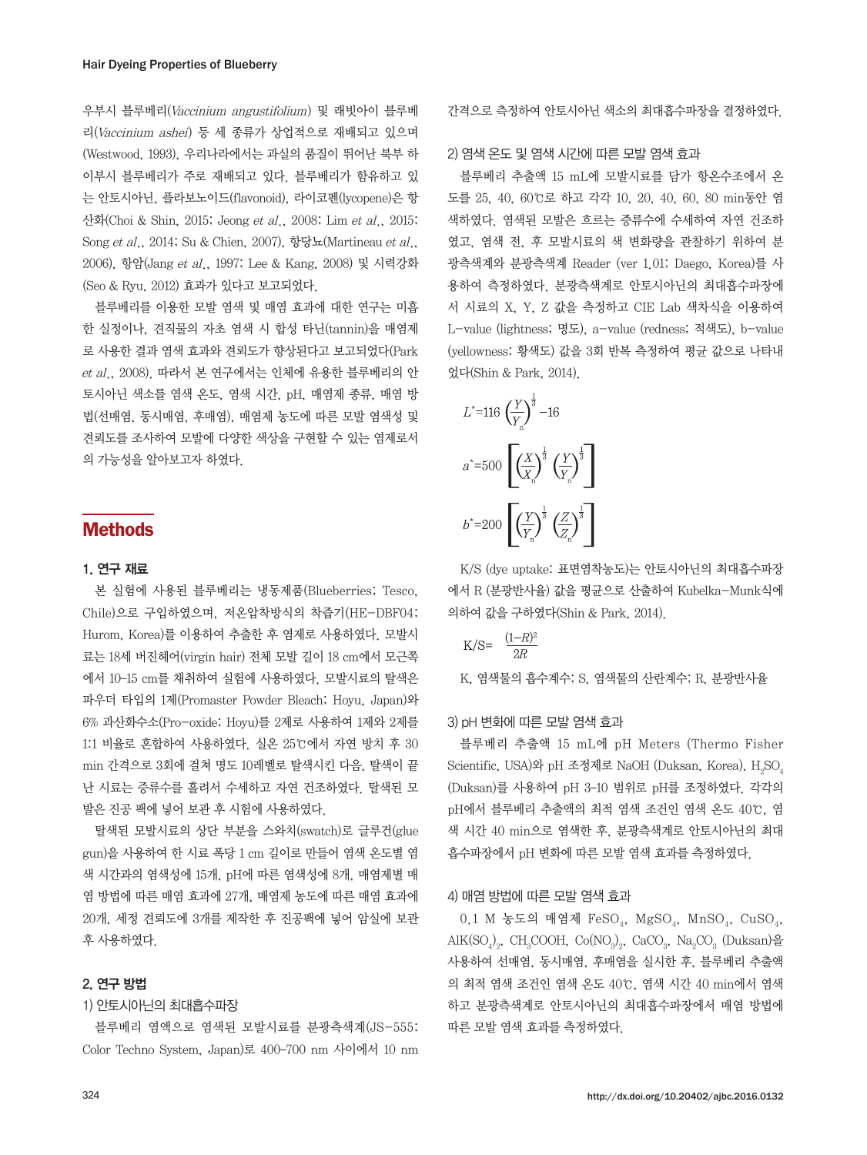우부시 블루베리(Vaccinium angustifolium) 및 래빗아이 블루베 리(Vaccinium ashei) 등 세 종류가 상업적으로 재배되고 있으며 (Westwood, 1993), 우리나라에서는 과실의 품질이 뛰어난 북부 하 이부시 블루베리가 주로 재배되고 있다. 블루베리가 함유하고 있 는 안토시아닌, 플라보노이드(flavonoid), 라이코펜(lycopene)은 항 산화(Choi & Shin, 2015; Jeong et al., 2008; Lim et al., 2015; Song et al., 2014; Su & Chien, 2007), 항당뇨(Martineau et al., 2006), 항암(Jang et al., 1997; Lee & Kang, 2008) 및 시력강화 (Seo & Ryu, 2012) 효과가 있다고 보고되었다.

블루베리를 이용한 모발 염색 및 매염 효과에 대한 연구는 미흡 한 실정이나, 견직물의 자초 염색 시 합성 타닌(tannin)을 매염제 로 사용한 결과 염색 효과와 견뢰도가 향상된다고 보고되었다(Park et al., 2008). 따라서 본 연구에서는 인체에 유용한 블루베리의 안 토시아닌 색소를 염색 온도, 염색 시간, pH, 매염제 종류, 매염 방 법(선매염, 동시매염, 후매염), 매염제 농도에 따른 모발 염색성 및 견뢰도를 조사하여 모발에 다양한 색상을 구현할 수 있는 염제로서 의 가능성을 알아보고자 하였다.

# Methods

#### 1. 연구 재료

본 실험에 사용된 블루베리는 냉동제품(Blueberries; Tesco, Chile)으로 구입하였으며, 저온압착방식의 착즙기(HE-DBF04; Hurom, Korea)를 이용하여 추출한 후 염제로 사용하였다. 모발시 료는 18세 버진헤어(virgin hair) 전체 모발 길이 18 cm에서 모근쪽 에서 10–15 cm를 채취하여 실험에 사용하였다. 모발시료의 탈색은 파우더 타입의 1제(Promaster Powder Bleach; Hoyu, Japan)와 6% 과산화수소(Pro-oxide; Hoyu)를 2제로 사용하여 1제와 2제를 1:1 비율로 혼합하여 사용하였다. 실온 25℃에서 자연 방치 후 30 min 간격으로 3회에 걸쳐 명도 10레벨로 탈색시킨 다음, 탈색이 끝 난 시료는 증류수를 흘려서 수세하고 자연 건조하였다. 탈색된 모 발은 진공 팩에 넣어 보관 후 시험에 사용하였다.

탈색된 모발시료의 상단 부분을 스와치(swatch)로 글루건(glue gun)을 사용하여 한 시료 폭당 1 cm 길이로 만들어 염색 온도별 염 색 시간과의 염색성에 15개, pH에 따른 염색성에 8개, 매염제별 매 염 방법에 따른 매염 효과에 27개, 매염제 농도에 따른 매염 효과에 20개, 세정 견뢰도에 3개를 제작한 후 진공팩에 넣어 암실에 보관 후 사용하였다.

# 2. 연구 방법

#### 1) 안토시아닌의 최대흡수파장

블루베리 염액으로 염색된 모발시료를 분광측색계(JS-555; Color Techno System, Japan)로 400–700 nm 사이에서 10 nm 간격으로 측정하여 안토시아닌 색소의 최대흡수파장을 결정하였다.

#### 2) 염색 온도 및 염색 시간에 따른 모발 염색 효과

블루베리 추출액 15 mL에 모발시료를 담가 항온수조에서 온 도를 25, 40, 60℃로 하고 각각 10, 20, 40, 60, 80 min동안 염 색하였다. 염색된 모발은 흐르는 증류수에 수세하여 자연 건조하 였고, 염색 전, 후 모발시료의 색 변화량을 관찰하기 위하여 분 광측색계와 분광측색계 Reader (ver 1.01; Daego, Korea)를 사 용하여 측정하였다. 분광측색계로 안토시아닌의 최대흡수파장에 서 시료의 X, Y, Z 값을 측정하고 CIE Lab 색차식을 이용하여 L-value (lightness; 명도), a-value (redness; 적색도), b-value (yellowness; 황색도) 값을 3회 반복 측정하여 평균 값으로 나타내 었다(Shin & Park, 2014).



K/S (dye uptake: 표면염착농도)는 안토시아닌의 최대흡수파장 에서 R (분광반사율) 값을 평균으로 산출하여 Kubelka-Munk식에 의하여 값을 구하였다(Shin & Park, 2014).

$$
K/S = \frac{(1-R)^2}{2R}
$$

K, 염색물의 흡수계수; S, 염색물의 산란계수; R, 분광반사율

### 3) pH 변화에 따른 모발 염색 효과

블루베리 추출액 15 mL에 pH Meters (Thermo Fisher Scientific, USA)와 pH 조정제로 NaOH (Duksan, Korea),  $\mathrm{H}_2\mathrm{SO}_4$ (Duksan)를 사용하여 pH 3–10 범위로 pH를 조정하였다. 각각의 pH에서 블루베리 추출액의 최적 염색 조건인 염색 온도 40℃, 염 색 시간 40 min으로 염색한 후, 분광측색계로 안토시아닌의 최대 흡수파장에서 pH 변화에 따른 모발 염색 효과를 측정하였다.

#### 4) 매염 방법에 따른 모발 염색 효과

 $0.1$  M 농도의 매염제 FeSO<sub>4</sub>, MgSO<sub>4</sub>, MnSO<sub>4</sub>, CuSO<sub>4</sub>,  $\text{AIK(SO}_4)_2$ , CH<sub>3</sub>COOH, Co(NO<sub>3</sub>)<sub>2</sub>, CaCO<sub>3</sub>, Na<sub>2</sub>CO<sub>3</sub> (Duksan)을 사용하여 선매염, 동시매염, 후매염을 실시한 후, 블루베리 추출액 의 최적 염색 조건인 염색 온도 40℃, 염색 시간 40 min에서 염색 하고 분광측색계로 안토시아닌의 최대흡수파장에서 매염 방법에 따른 모발 염색 효과를 측정하였다.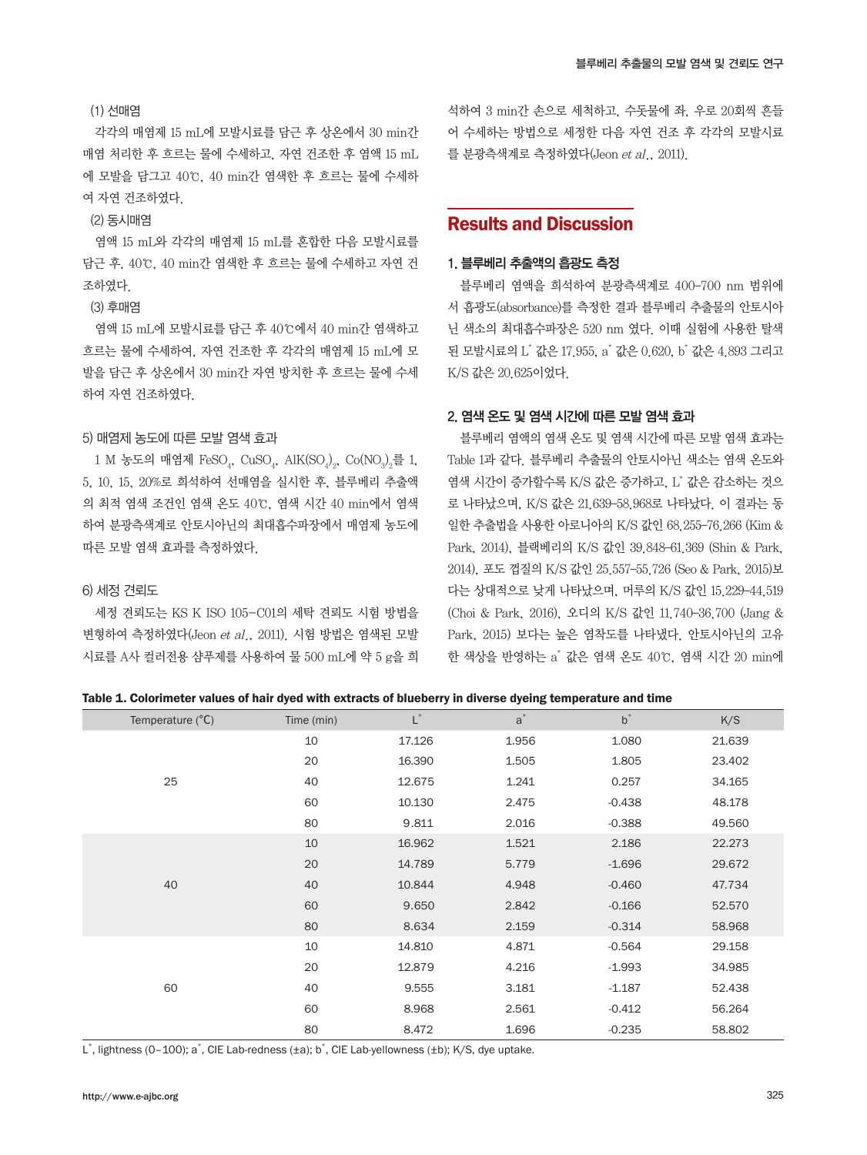#### (1) 선매염

각각의 매염제 15 mL에 모발시료를 담근 후 상온에서 30 min간 매염 처리한 후 흐르는 물에 수세하고, 자연 건조한 후 염액 15 mL 에 모발을 담그고 40℃, 40 min간 염색한 후 흐르는 물에 수세하 여 자연 건조하였다.

# (2) 동시매염

염액 15 mL와 각각의 매염제 15 mL를 혼합한 다음 모발시료를 담근 후, 40℃, 40 min간 염색한 후 흐르는 물에 수세하고 자연 건 조하였다.

#### (3) 후매염

염액 15 mL에 모발시료를 담근 후 40℃에서 40 min간 염색하고 흐르는 물에 수세하여, 자연 건조한 후 각각의 매염제 15 mL에 모 발을 담근 후 상온에서 30 min간 자연 방치한 후 흐르는 물에 수세 하여 자연 건조하였다.

#### 5) 매염제 농도에 따른 모발 염색 효과

1 M 농도의 매염제  $\text{FeSO}_4$ ,  $\text{CuSO}_4$ ,  $\text{AlK(SO}_4)_2$ ,  $\text{Co}(\text{NO}_3)_2$ 를 1, 5, 10, 15, 20%로 희석하여 선매염을 실시한 후, 블루베리 추출액 의 최적 염색 조건인 염색 온도 40℃, 염색 시간 40 min에서 염색 하여 분광측색계로 안토시아닌의 최대흡수파장에서 매염제 농도에 따른 모발 염색 효과를 측정하였다.

### 6) 세정 견뢰도

세정 견뢰도는 KS K ISO 105-C01의 세탁 견뢰도 시험 방법을 변형하여 측정하였다(Jeon et al., 2011). 시험 방법은 염색된 모발 시료를 A사 컬러전용 샴푸제를 사용하여 물 500 mL에 약 5 g을 희

석하여 3 min간 손으로 세척하고, 수돗물에 좌, 우로 20회씩 흔들 어 수세하는 방법으로 세정한 다음 자연 건조 후 각각의 모발시료 를 분광측색계로 측정하였다(Jeon et al., 2011).

# Results and Discussion

#### 1. 블루베리 추출액의 흡광도 측정

블루베리 염액을 희석하여 분광측색계로 400–700 nm 범위에 서 흡광도(absorbance)를 측정한 결과 블루베리 추출물의 안토시아 닌 색소의 최대흡수파장은 520 nm 였다. 이때 실험에 사용한 탈색 된 모발시료의 L<sup>\*</sup> 값은 17.955, a<sup>\*</sup> 값은 0.620, b<sup>\*</sup> 값은 4.893 그리고 K/S 값은 20.625이었다.

# 2. 염색 온도 및 염색 시간에 따른 모발 염색 효과

블루베리 염액의 염색 온도 및 염색 시간에 따른 모발 염색 효과는 Table 1과 같다. 블루베리 추출물의 안토시아닌 색소는 염색 온도와 염색 시간이 증가할수록 K/S 값은 증가하고, L\* 값은 감소하는 것으 로 나타났으며, K/S 값은 21.639–58.968로 나타났다. 이 결과는 동 일한 추출법을 사용한 아로니아의 K/S 값인 68.255–76.266 (Kim & Park, 2014), 블랙베리의 K/S 값인 39.848–61.369 (Shin & Park, 2014), 포도 껍질의 K/S 값인 25.557–55.726 (Seo & Park, 2015)보 다는 상대적으로 낮게 나타났으며, 머루의 K/S 값인 15.229–44.519 (Choi & Park, 2016), 오디의 K/S 값인 11.740–36.700 (Jang & Park, 2015) 보다는 높은 염착도를 나타냈다. 안토시아닌의 고유 한 색상을 반영하는 a\* 값은 염색 온도 40℃, 염색 시간 20 min에

#### Table 1. Colorimeter values of hair dyed with extracts of blueberry in diverse dyeing temperature and time

| Temperature $(^{\circ}C)$ | Time (min) | $\mathsf{L}^*$ | $a^*$ | $b^*$    | K/S    |
|---------------------------|------------|----------------|-------|----------|--------|
|                           | 10         | 17.126         | 1.956 | 1.080    | 21.639 |
|                           | 20         | 16.390         | 1.505 | 1.805    | 23.402 |
| 25                        | 40         | 12.675         | 1.241 | 0.257    | 34.165 |
|                           | 60         | 10.130         | 2.475 | $-0.438$ | 48.178 |
|                           | 80         | 9.811          | 2.016 | $-0.388$ | 49.560 |
|                           | 10         | 16.962         | 1.521 | 2.186    | 22.273 |
|                           | 20         | 14.789         | 5.779 | $-1.696$ | 29.672 |
| 40                        | 40         | 10.844         | 4.948 | $-0.460$ | 47.734 |
|                           | 60         | 9.650          | 2.842 | $-0.166$ | 52.570 |
|                           | 80         | 8.634          | 2.159 | $-0.314$ | 58.968 |
| 60                        | 10         | 14.810         | 4.871 | $-0.564$ | 29.158 |
|                           | 20         | 12.879         | 4.216 | $-1.993$ | 34.985 |
|                           | 40         | 9.555          | 3.181 | $-1.187$ | 52.438 |
|                           | 60         | 8.968          | 2.561 | $-0.412$ | 56.264 |
|                           | 80         | 8.472          | 1.696 | $-0.235$ | 58.802 |

L\*, lightness (0-100); a\*, CIE Lab-redness (±a); b\*, CIE Lab-yellowness (±b); K/S, dye uptake.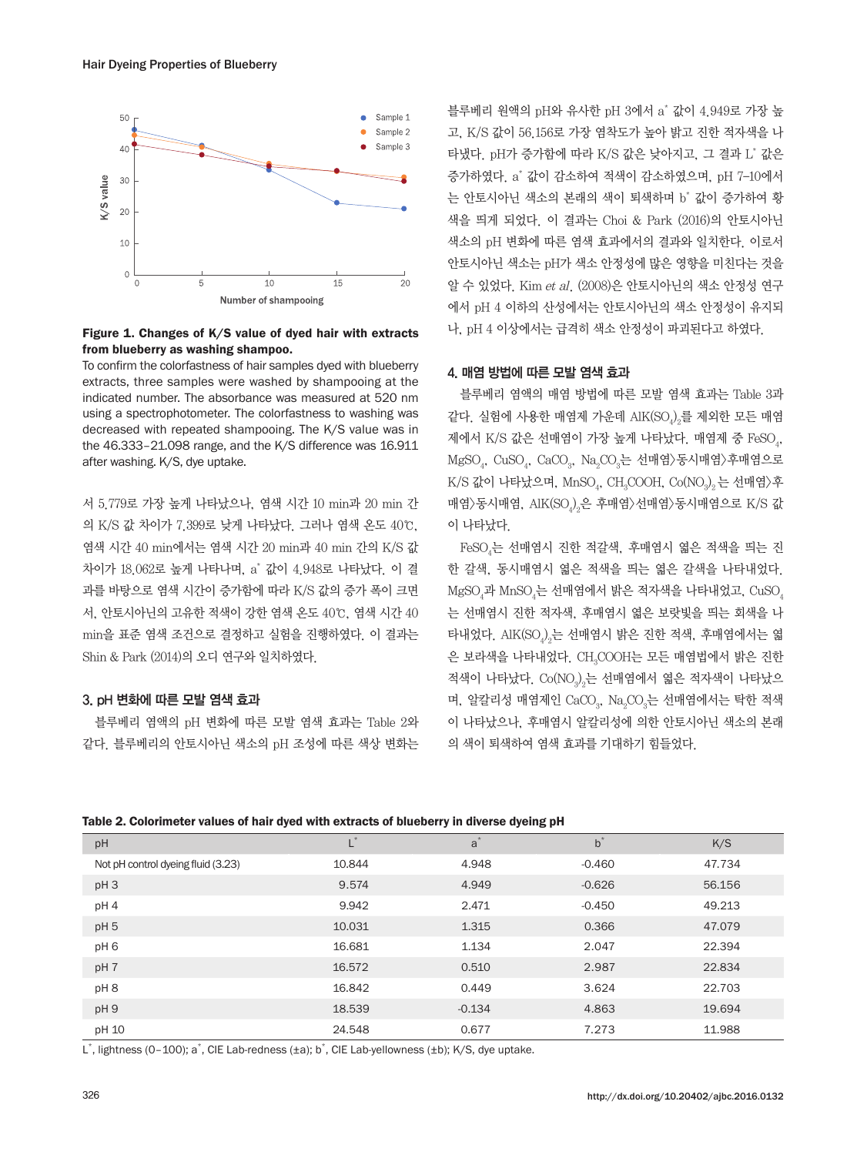

### Figure 1. Changes of K/S value of dyed hair with extracts from blueberry as washing shampoo.

To confirm the colorfastness of hair samples dyed with blueberry extracts, three samples were washed by shampooing at the indicated number. The absorbance was measured at 520 nm using a spectrophotometer. The colorfastness to washing was decreased with repeated shampooing. The K/S value was in the 46.333–21.098 range, and the K/S difference was 16.911 after washing. K/S, dye uptake.

서 5.779로 가장 높게 나타났으나, 염색 시간 10 min과 20 min 간 의 K/S 값 차이가 7.399로 낮게 나타났다. 그러나 염색 온도 40℃, 염색 시간 40 min에서는 염색 시간 20 min과 40 min 간의 K/S 값 차이가 18.062로 높게 나타나며, a\* 값이 4.948로 나타났다. 이 결 과를 바탕으로 염색 시간이 증가함에 따라 K/S 값의 증가 폭이 크면 서, 안토시아닌의 고유한 적색이 강한 염색 온도 40℃, 염색 시간 40 min을 표준 염색 조건으로 결정하고 실험을 진행하였다. 이 결과는 Shin & Park (2014)의 오디 연구와 일치하였다.

### 3. pH 변화에 따른 모발 염색 효과

블루베리 염액의 pH 변화에 따른 모발 염색 효과는 Table 2와 같다. 블루베리의 안토시아닌 색소의 pH 조성에 따른 색상 변화는 블루베리 원액의 pH와 유사한 pH 3에서 a゛값이 4.949로 가장 높 고, K/S 값이 56.156로 가장 염착도가 높아 밝고 진한 적자색을 나 타냈다. pH가 증가함에 따라 K/S 값은 낮아지고, 그 결과 L\* 값은 증가하였다. a\* 값이 감소하여 적색이 감소하였으며, pH 7–10에서 는 안토시아닌 색소의 본래의 색이 퇴색하며 b\* 값이 증가하여 황 색을 띄게 되었다. 이 결과는 Choi & Park (2016)의 안토시아닌 색소의 pH 변화에 따른 염색 효과에서의 결과와 일치한다. 이로서 안토시아닌 색소는 pH가 색소 안정성에 많은 영향을 미친다는 것을 알 수 있었다. Kim et al. (2008)은 안토시아닌의 색소 안정성 연구 에서 pH 4 이하의 산성에서는 안토시아닌의 색소 안정성이 유지되 나, pH 4 이상에서는 급격히 색소 안정성이 파괴된다고 하였다.

#### 4. 매염 방법에 따른 모발 염색 효과

블루베리 염액의 매염 방법에 따른 모발 염색 효과는 Table 3과 같다. 실험에 사용한 매염제 가운데 AIK(SO $_{\!\,2}^{\!0}$ 를 제외한 모든 매염 제에서 K/S 값은 선매염이 가장 높게 나타났다. 매염제 중 FeSO<sub>4</sub>, MgSO<sub>4</sub>, CuSO<sub>4</sub>, CaCO<sub>3</sub>, Na<sub>2</sub>CO<sub>3</sub>는 선매염〉동시매염〉후매염으로  $\rm K/S$  값이 나타났으며,  $\rm MnSO_4$ ,  $\rm CH_3COOH$ ,  $\rm Co(NO_3)_2$ 는 선매염 $\rangle$ 후 매염〉동시매염, AlK(SO $_{\varphi_2}$ 은 후매염〉선매염〉동시매염으로 K/S 값 이 나타났다.

 $\text{FeSO}_4$ 는 선매염시 진한 적갈색, 후매염시 엷은 적색을 띄는 진 한 갈색, 동시매염시 엷은 적색을 띄는 엷은 갈색을 나타내었다.  $\mathrm{MgSO}_4$ 과  $\mathrm{MnSO}_4$ 는 선매염에서 밝은 적자색을 나타내었고,  $\mathrm{CuSO}_4$ 는 선매염시 진한 적자색, 후매염시 엷은 보랏빛을 띄는 회색을 나 타내었다. AlK(SO $_{\!_{2}}$ 는 선매염시 밝은 진한 적색, 후매염에서는 엷 은 보라색을 나타내었다. CH<sub>3</sub>COOH는 모든 매염법에서 밝은 진한 적색이 나타났다.  $\mathrm{Co}(\mathrm{NO}_3)_2$ 는 선매염에서 엷은 적자색이 나타났으 며, 알칼리성 매염제인 CaCO $_{\scriptscriptstyle 3}$ , Na $_{\scriptscriptstyle 2}$ CO $_{\scriptscriptstyle 3}$ 는 선매염에서는 탁한 적색 이 나타났으나, 후매염시 알칼리성에 의한 안토시아닌 색소의 본래 의 색이 퇴색하여 염색 효과를 기대하기 힘들었다.

| pH                                 | ┖      | a        | $b^*$    | K/S    |
|------------------------------------|--------|----------|----------|--------|
| Not pH control dyeing fluid (3.23) | 10.844 | 4.948    | $-0.460$ | 47.734 |
| pH <sub>3</sub>                    | 9.574  | 4.949    | $-0.626$ | 56.156 |
| pH <sub>4</sub>                    | 9.942  | 2.471    | $-0.450$ | 49.213 |
| pH <sub>5</sub>                    | 10.031 | 1.315    | 0.366    | 47.079 |
| pH <sub>6</sub>                    | 16.681 | 1.134    | 2.047    | 22.394 |
| pH 7                               | 16.572 | 0.510    | 2.987    | 22.834 |
| pH <sub>8</sub>                    | 16.842 | 0.449    | 3.624    | 22.703 |
| pH9                                | 18.539 | $-0.134$ | 4.863    | 19.694 |
| pH 10                              | 24.548 | 0.677    | 7.273    | 11.988 |

L\*, lightness (0-100); a\*, CIE Lab-redness (±a); b\*, CIE Lab-yellowness (±b); K/S, dye uptake.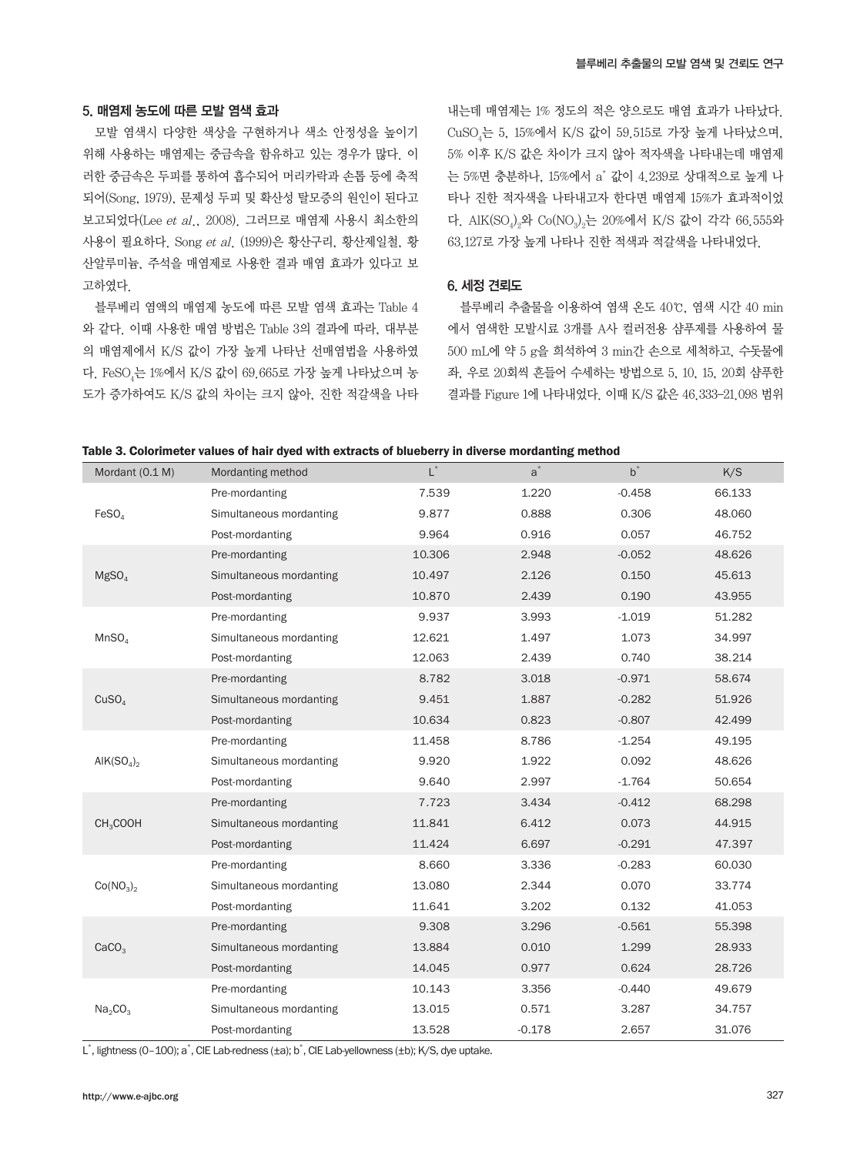#### 5. 매염제 농도에 따른 모발 염색 효과

모발 염색시 다양한 색상을 구현하거나 색소 안정성을 높이기 위해 사용하는 매염제는 중금속을 함유하고 있는 경우가 많다. 이 러한 중금속은 두피를 통하여 흡수되어 머리카락과 손톱 등에 축적 되어(Song, 1979), 문제성 두피 및 확산성 탈모증의 원인이 된다고 보고되었다(Lee et al., 2008). 그러므로 매염제 사용시 최소한의 사용이 필요하다. Song et al. (1999)은 황산구리, 황산제일철, 황 산알루미늄, 주석을 매염제로 사용한 결과 매염 효과가 있다고 보 고하였다.

블루베리 염액의 매염제 농도에 따른 모발 염색 효과는 Table 4 와 같다. 이때 사용한 매염 방법은 Table 3의 결과에 따라, 대부분 의 매염제에서 K/S 값이 가장 높게 나타난 선매염법을 사용하였 다. FeSO<sub>4</sub>는 1%에서 K/S 값이 69.665로 가장 높게 나타났으며 농 도가 증가하여도 K/S 값의 차이는 크지 않아, 진한 적갈색을 나타 내는데 매염제는 1% 정도의 적은 양으로도 매염 효과가 나타났다. CuSO4 는 5, 15%에서 K/S 값이 59.515로 가장 높게 나타났으며, 5% 이후 K/S 값은 차이가 크지 않아 적자색을 나타내는데 매염제 는 5%면 충분하나, 15%에서 a\* 값이 4.239로 상대적으로 높게 나 타나 진한 적자색을 나타내고자 한다면 매염제 15%가 효과적이었 다. AlK(SO<sub>4</sub>)<sub>2</sub>와 Co(NO<sub>3</sub>)<sub>2</sub>는 20%에서 K/S 값이 각각 66.555와 63.127로 가장 높게 나타나 진한 적색과 적갈색을 나타내었다.

### 6. 세정 견뢰도

블루베리 추출물을 이용하여 염색 온도 40℃, 염색 시간 40 min 에서 염색한 모발시료 3개를 A사 컬러전용 샴푸제를 사용하여 물 500 mL에 약 5 g을 희석하여 3 min간 손으로 세척하고, 수돗물에 좌, 우로 20회씩 흔들어 수세하는 방법으로 5, 10, 15, 20회 샴푸한 결과를 Figure 1에 나타내었다. 이때 K/S 값은 46.333–21.098 범위

| ravic of outninger values of half uyeu with extracts of blueberry in uncles morualiting inclinu |                         |        |          |          |        |  |  |
|-------------------------------------------------------------------------------------------------|-------------------------|--------|----------|----------|--------|--|--|
| Mordant (0.1 M)                                                                                 | Mordanting method       | $L^*$  | $a^*$    | $b^*$    | K/S    |  |  |
| FeSO <sub>4</sub>                                                                               | Pre-mordanting          | 7.539  | 1.220    | $-0.458$ | 66.133 |  |  |
|                                                                                                 | Simultaneous mordanting | 9.877  | 0.888    | 0.306    | 48.060 |  |  |
|                                                                                                 | Post-mordanting         | 9.964  | 0.916    | 0.057    | 46.752 |  |  |
|                                                                                                 | Pre-mordanting          | 10.306 | 2.948    | $-0.052$ | 48.626 |  |  |
| MgSO <sub>4</sub>                                                                               | Simultaneous mordanting | 10.497 | 2.126    | 0.150    | 45.613 |  |  |
|                                                                                                 | Post-mordanting         | 10.870 | 2.439    | 0.190    | 43.955 |  |  |
|                                                                                                 | Pre-mordanting          | 9.937  | 3.993    | $-1.019$ | 51.282 |  |  |
| MnSO <sub>4</sub>                                                                               | Simultaneous mordanting | 12.621 | 1.497    | 1.073    | 34.997 |  |  |
|                                                                                                 | Post-mordanting         | 12.063 | 2.439    | 0.740    | 38.214 |  |  |
|                                                                                                 | Pre-mordanting          | 8.782  | 3.018    | $-0.971$ | 58.674 |  |  |
| CuSO <sub>4</sub>                                                                               | Simultaneous mordanting | 9.451  | 1.887    | $-0.282$ | 51.926 |  |  |
|                                                                                                 | Post-mordanting         | 10.634 | 0.823    | $-0.807$ | 42.499 |  |  |
|                                                                                                 | Pre-mordanting          | 11.458 | 8.786    | $-1.254$ | 49.195 |  |  |
| AIK $(SO4)2$                                                                                    | Simultaneous mordanting | 9.920  | 1.922    | 0.092    | 48.626 |  |  |
|                                                                                                 | Post-mordanting         | 9.640  | 2.997    | $-1.764$ | 50.654 |  |  |
|                                                                                                 | Pre-mordanting          | 7.723  | 3.434    | $-0.412$ | 68.298 |  |  |
| CH <sub>3</sub> COOH                                                                            | Simultaneous mordanting | 11.841 | 6.412    | 0.073    | 44.915 |  |  |
|                                                                                                 | Post-mordanting         | 11.424 | 6.697    | $-0.291$ | 47.397 |  |  |
|                                                                                                 | Pre-mordanting          | 8.660  | 3.336    | $-0.283$ | 60.030 |  |  |
| $Co(NO_3)$                                                                                      | Simultaneous mordanting | 13.080 | 2.344    | 0.070    | 33.774 |  |  |
|                                                                                                 | Post-mordanting         | 11.641 | 3.202    | 0.132    | 41.053 |  |  |
|                                                                                                 | Pre-mordanting          | 9.308  | 3.296    | $-0.561$ | 55.398 |  |  |
| CaCO <sub>3</sub>                                                                               | Simultaneous mordanting | 13.884 | 0.010    | 1.299    | 28.933 |  |  |
|                                                                                                 | Post-mordanting         | 14.045 | 0.977    | 0.624    | 28.726 |  |  |
|                                                                                                 | Pre-mordanting          | 10.143 | 3.356    | $-0.440$ | 49.679 |  |  |
| Na <sub>2</sub> CO <sub>3</sub>                                                                 | Simultaneous mordanting | 13.015 | 0.571    | 3.287    | 34.757 |  |  |
|                                                                                                 | Post-mordanting         | 13.528 | $-0.178$ | 2.657    | 31.076 |  |  |

#### Table 3. Colorimeter values of hair dyed with extracts of blueberry in diverse mordanting method

L<sup>\*</sup>, lightness (0–100); a<sup>\*</sup>, CIE Lab-redness (±a); b<sup>\*</sup>, CIE Lab-yellowness (±b); K/S, dye uptake.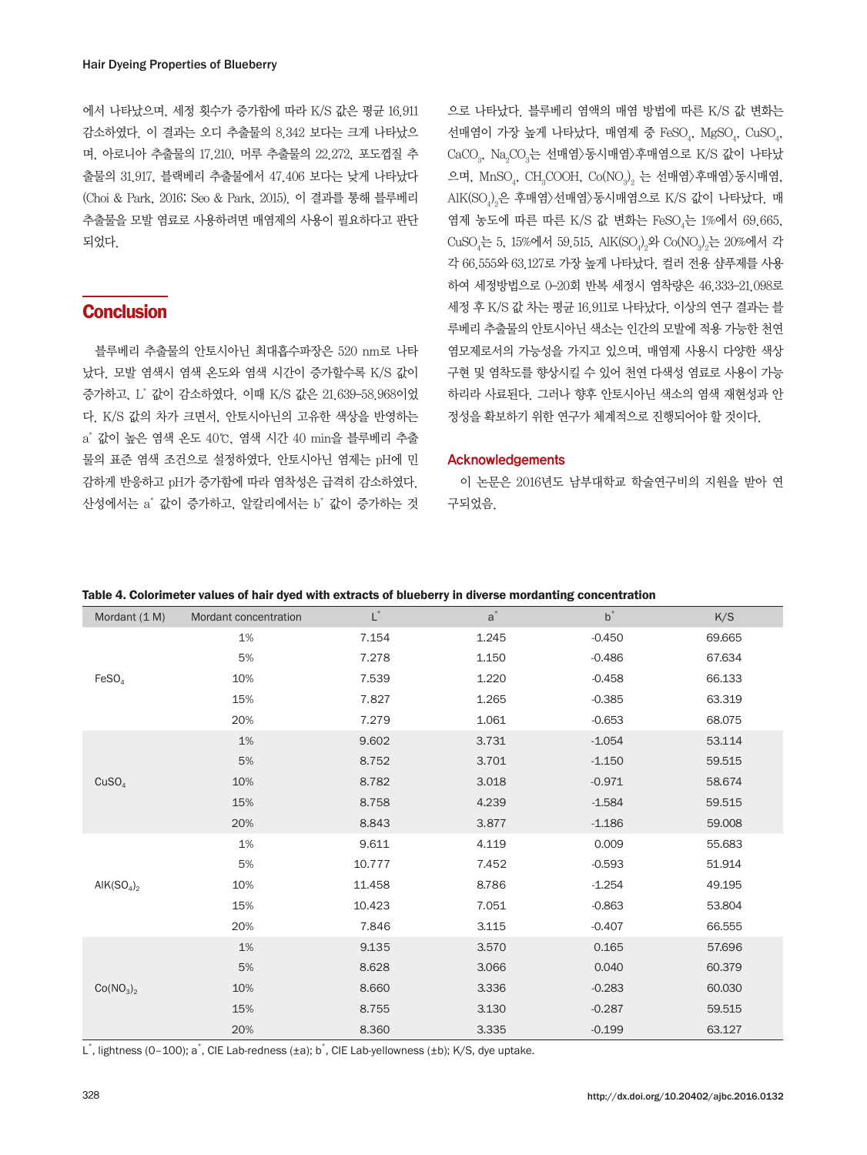에서 나타났으며, 세정 횟수가 증가함에 따라 K/S 값은 평균 16.911 감소하였다. 이 결과는 오디 추출물의 8.342 보다는 크게 나타났으 며, 아로니아 추출물의 17.210, 머루 추출물의 22.272, 포도껍질 추 출물의 31.917, 블랙베리 추출물에서 47.406 보다는 낮게 나타났다 (Choi & Park, 2016; Seo & Park, 2015). 이 결과를 통해 블루베리 추출물을 모발 염료로 사용하려면 매염제의 사용이 필요하다고 판단 되었다.

# **Conclusion**

블루베리 추출물의 안토시아닌 최대흡수파장은 520 nm로 나타 났다. 모발 염색시 염색 온도와 염색 시간이 증가할수록 K/S 값이 증가하고, L\* 값이 감소하였다. 이때 K/S 값은 21.639–58.968이었 다. K/S 값의 차가 크면서, 안토시아닌의 고유한 색상을 반영하는 a\* 값이 높은 염색 온도 40℃, 염색 시간 40 min을 블루베리 추출 물의 표준 염색 조건으로 설정하였다. 안토시아닌 염제는 pH에 민 감하게 반응하고 pH가 증가함에 따라 염착성은 급격히 감소하였다. 산성에서는 a\* 값이 증가하고, 알칼리에서는 b\* 값이 증가하는 것

으로 나타났다. 블루베리 염액의 매염 방법에 따른 K/S 값 변화는 선매염이 가장 높게 나타났다. 매염제 중 FeSO $_{\textrm{\tiny{4}}}$ , MgSO $_{\textrm{\tiny{4}}}$ , CuSO $_{\textrm{\tiny{4}}}$ , CaCO $_{3}$ , Na $_{2}$ CO $_{3}$ 는 선매염 $\rangle$ 동시매염 $\rangle$ 후매염으로 K/S 값이 나타났 으며, MnSO $_{4}$ , CH $_{3}$ COOH, Co(NO $_{3})_{2}$  는 선매염 $\rangle$ 후매염 $\rangle$ 동시매염, AlK(SO $_{4}$ ) $_{2}$ 은 후매염 $\rangle$ 선매염 $\rangle$ 동시매염으로 K/S 값이 나타났다. 매 염제 농도에 따른 따른 K/S 값 변화는 FeSO<sub>4</sub>는 1%에서 69.665,  $\text{CuSO}_4$ 는 5, 15%에서 59.515, AlK(SO $_4\rangle_2$ 와 Co(NO $_3\rangle_2$ 는 20%에서 각 각 66.555와 63.127로 가장 높게 나타났다. 컬러 전용 샴푸제를 사용 하여 세정방법으로 0–20회 반복 세정시 염착량은 46.333–21.098로 세정 후 K/S 값 차는 평균 16.911로 나타났다. 이상의 연구 결과는 블 루베리 추출물의 안토시아닌 색소는 인간의 모발에 적용 가능한 천연 염모제로서의 가능성을 가지고 있으며, 매염제 사용시 다양한 색상 구현 및 염착도를 향상시킬 수 있어 천연 다색성 염료로 사용이 가능 하리라 사료된다. 그러나 향후 안토시아닌 색소의 염색 재현성과 안 정성을 확보하기 위한 연구가 체계적으로 진행되어야 할 것이다.

#### Acknowledgements

이 논문은 2016년도 남부대학교 학술연구비의 지원을 받아 연 구되었음.

| Table 4. Colorimeter values of hair dyed with extracts of blueberry in diverse mordanting concentration |  |  |
|---------------------------------------------------------------------------------------------------------|--|--|
|---------------------------------------------------------------------------------------------------------|--|--|

| Mordant (1 M)                     | Mordant concentration | $\mathsf{L}^*$ | $a^*$ | $b^*$    | K/S    |
|-----------------------------------|-----------------------|----------------|-------|----------|--------|
| FeSO <sub>4</sub>                 | 1%                    | 7.154          | 1.245 | $-0.450$ | 69.665 |
|                                   | 5%                    | 7.278          | 1.150 | $-0.486$ | 67.634 |
|                                   | 10%                   | 7.539          | 1.220 | $-0.458$ | 66.133 |
|                                   | 15%                   | 7.827          | 1.265 | $-0.385$ | 63.319 |
|                                   | 20%                   | 7.279          | 1.061 | $-0.653$ | 68.075 |
|                                   | $1\%$                 | 9.602          | 3.731 | $-1.054$ | 53.114 |
|                                   | 5%                    | 8.752          | 3.701 | $-1.150$ | 59.515 |
| CuSO <sub>4</sub>                 | 10%                   | 8.782          | 3.018 | $-0.971$ | 58.674 |
|                                   | 15%                   | 8.758          | 4.239 | $-1.584$ | 59.515 |
|                                   | 20%                   | 8.843          | 3.877 | $-1.186$ | 59.008 |
|                                   | 1%                    | 9.611          | 4.119 | 0.009    | 55.683 |
| AIK $(SO4)2$                      | 5%                    | 10.777         | 7.452 | $-0.593$ | 51.914 |
|                                   | 10%                   | 11.458         | 8.786 | $-1.254$ | 49.195 |
|                                   | 15%                   | 10.423         | 7.051 | $-0.863$ | 53.804 |
|                                   | 20%                   | 7.846          | 3.115 | $-0.407$ | 66.555 |
| Co(NO <sub>3</sub> ) <sub>2</sub> | 1%                    | 9.135          | 3.570 | 0.165    | 57.696 |
|                                   | 5%                    | 8.628          | 3.066 | 0.040    | 60.379 |
|                                   | 10%                   | 8.660          | 3.336 | $-0.283$ | 60.030 |
|                                   | 15%                   | 8.755          | 3.130 | $-0.287$ | 59.515 |
|                                   | 20%                   | 8.360          | 3.335 | $-0.199$ | 63.127 |

L\*, lightness (0-100); a\*, CIE Lab-redness (±a); b\*, CIE Lab-yellowness (±b); K/S, dye uptake.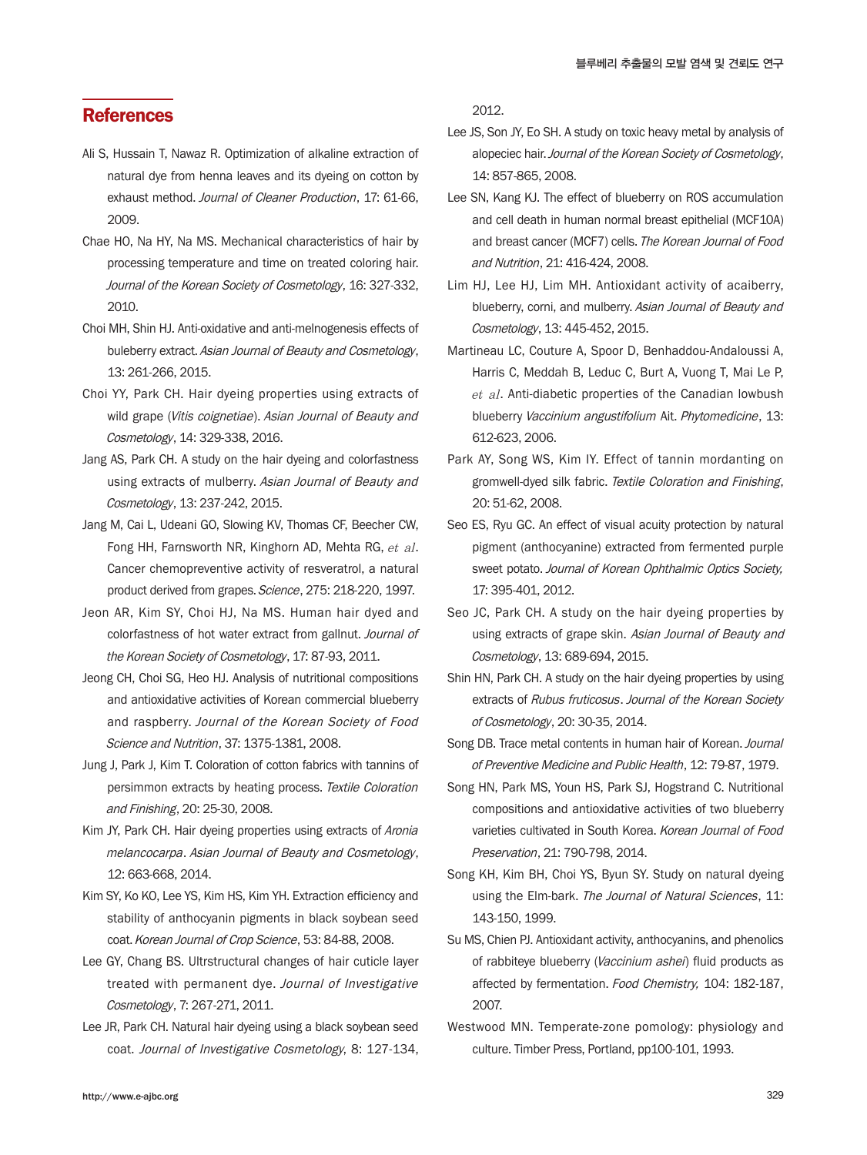# **References**

- Ali S, Hussain T, Nawaz R. Optimization of alkaline extraction of natural dye from henna leaves and its dyeing on cotton by exhaust method. Journal of Cleaner Production, 17: 61-66. 2009.
- Chae HO, Na HY, Na MS. Mechanical characteristics of hair by processing temperature and time on treated coloring hair. Journal of the Korean Society of Cosmetology, 16: 327-332, 2010.
- Choi MH, Shin HJ. Anti-oxidative and anti-melnogenesis effects of buleberry extract. Asian Journal of Beauty and Cosmetology, 13: 261-266, 2015.
- Choi YY, Park CH. Hair dyeing properties using extracts of wild grape (Vitis coignetiae). Asian Journal of Beauty and Cosmetology, 14: 329-338, 2016.
- Jang AS, Park CH. A study on the hair dyeing and colorfastness using extracts of mulberry. Asian Journal of Beauty and Cosmetology, 13: 237-242, 2015.
- Jang M, Cai L, Udeani GO, Slowing KV, Thomas CF, Beecher CW, Fong HH, Farnsworth NR, Kinghorn AD, Mehta RG, et al. Cancer chemopreventive activity of resveratrol, a natural product derived from grapes. Science, 275: 218-220, 1997.
- Jeon AR, Kim SY, Choi HJ, Na MS. Human hair dyed and colorfastness of hot water extract from gallnut. Journal of the Korean Society of Cosmetology, 17: 87-93, 2011.
- Jeong CH, Choi SG, Heo HJ. Analysis of nutritional compositions and antioxidative activities of Korean commercial blueberry and raspberry. Journal of the Korean Society of Food Science and Nutrition, 37: 1375-1381, 2008.
- Jung J, Park J, Kim T. Coloration of cotton fabrics with tannins of persimmon extracts by heating process. Textile Coloration and Finishing, 20: 25-30, 2008.
- Kim JY, Park CH. Hair dyeing properties using extracts of Aronia melancocarpa. Asian Journal of Beauty and Cosmetology, 12: 663-668, 2014.
- Kim SY, Ko KO, Lee YS, Kim HS, Kim YH. Extraction efficiency and stability of anthocyanin pigments in black soybean seed coat. Korean Journal of Crop Science, 53: 84-88, 2008.
- Lee GY, Chang BS. Ultrstructural changes of hair cuticle layer treated with permanent dye. Journal of Investigative Cosmetology, 7: 267-271, 2011.
- Lee JR, Park CH. Natural hair dyeing using a black soybean seed coat. Journal of Investigative Cosmetology, 8: 127-134,

2012.

- Lee JS, Son JY, Eo SH. A study on toxic heavy metal by analysis of alopeciec hair. Journal of the Korean Society of Cosmetology, 14: 857-865, 2008.
- Lee SN, Kang KJ. The effect of blueberry on ROS accumulation and cell death in human normal breast epithelial (MCF10A) and breast cancer (MCF7) cells. The Korean Journal of Food and Nutrition, 21: 416-424, 2008.
- Lim HJ, Lee HJ, Lim MH. Antioxidant activity of acaiberry, blueberry, corni, and mulberry. Asian Journal of Beauty and Cosmetology, 13: 445-452, 2015.
- Martineau LC, Couture A, Spoor D, Benhaddou-Andaloussi A, Harris C, Meddah B, Leduc C, Burt A, Vuong T, Mai Le P, et al. Anti-diabetic properties of the Canadian lowbush blueberry Vaccinium angustifolium Ait. Phytomedicine, 13: 612-623, 2006.
- Park AY, Song WS, Kim IY. Effect of tannin mordanting on gromwell-dyed silk fabric. Textile Coloration and Finishing, 20: 51-62, 2008.
- Seo ES, Ryu GC. An effect of visual acuity protection by natural pigment (anthocyanine) extracted from fermented purple sweet potato. Journal of Korean Ophthalmic Optics Society, 17: 395-401, 2012.
- Seo JC, Park CH. A study on the hair dyeing properties by using extracts of grape skin. Asian Journal of Beauty and Cosmetology, 13: 689-694, 2015.
- Shin HN, Park CH. A study on the hair dyeing properties by using extracts of Rubus fruticosus. Journal of the Korean Society of Cosmetology, 20: 30-35, 2014.
- Song DB. Trace metal contents in human hair of Korean. Journal of Preventive Medicine and Public Health, 12: 79-87, 1979.
- Song HN, Park MS, Youn HS, Park SJ, Hogstrand C. Nutritional compositions and antioxidative activities of two blueberry varieties cultivated in South Korea. Korean Journal of Food Preservation, 21: 790-798, 2014.
- Song KH, Kim BH, Choi YS, Byun SY. Study on natural dyeing using the Elm-bark. The Journal of Natural Sciences, 11: 143-150, 1999.
- Su MS, Chien PJ. Antioxidant activity, anthocyanins, and phenolics of rabbiteye blueberry (Vaccinium ashei) fluid products as affected by fermentation. Food Chemistry, 104: 182-187, 2007.
- Westwood MN. Temperate-zone pomology: physiology and culture. Timber Press, Portland, pp100-101, 1993.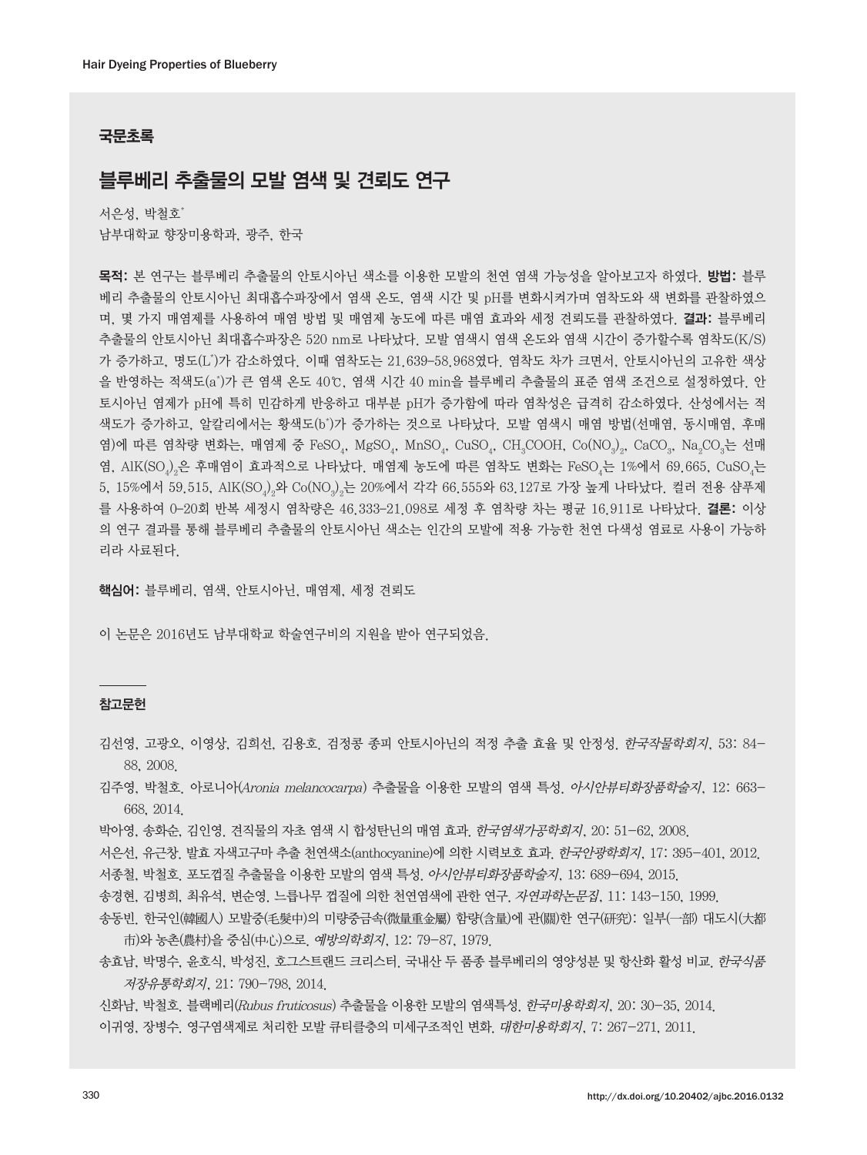### 국문초록

# 블루베리 추출물의 모발 염색 및 견뢰도 연구

서은성, 박철호\* 남부대학교 향장미용학과, 광주, 한국

목적: 본 연구는 블루베리 추출물의 안토시아닌 색소를 이용한 모발의 천연 염색 가능성을 알아보고자 하였다. 방법: 블루 베리 추출물의 안토시아닌 최대흡수파장에서 염색 온도, 염색 시간 및 pH를 변화시켜가며 염착도와 색 변화를 관찰하였으 며, 몇 가지 매염제를 사용하여 매염 방법 및 매염제 농도에 따른 매염 효과와 세정 견뢰도를 관찰하였다. **결과:** 블루베리 추출물의 안토시아닌 최대흡수파장은 520 nm로 나타났다. 모발 염색시 염색 온도와 염색 시간이 증가할수록 염착도(K/S) 가 증가하고, 명도(L\* )가 감소하였다. 이때 염착도는 21.639–58.968였다. 염착도 차가 크면서, 안토시아닌의 고유한 색상 을 반영하는 적색도(a\* )가 큰 염색 온도 40℃, 염색 시간 40 min을 블루베리 추출물의 표준 염색 조건으로 설정하였다. 안 토시아닌 염제가 pH에 특히 민감하게 반응하고 대부분 pH가 증가함에 따라 염착성은 급격히 감소하였다. 산성에서는 적 색도가 증가하고, 알칼리에서는 황색도(b\*)가 증가하는 것으로 나타났다. 모발 염색시 매염 방법(선매염, 동시매염, 후매 염)에 따른 염착량 변화는, 매염제 중 FeSO<sub>4</sub>, MgSO<sub>4</sub>, MnSO<sub>4</sub>, CuSO<sub>4</sub>, CH<sub>3</sub>COOH, Co(NO<sub>3</sub>)<sub>2</sub>, CaCO<sub>3</sub>, Na<sub>2</sub>CO<sub>3</sub>는 선매 염, AlK(SO $_{4}$ )은 후매염이 효과적으로 나타났다. 매염제 농도에 따른 염착도 변화는 FeSO $_{4}$ 는 1%에서 69.665, CuSO $_{4}$ 는 5, 15%에서 59.515, AlK(SO $_{\eta}$ ) $_{2}$ 와 Co(NO $_{3}$ ) $_{2}$ 는 20%에서 각각 66.555와 63.127로 가장 높게 나타났다. 컬러 전용 샴푸제 를 사용하여 0-20회 반복 세정시 염착량은 46.333-21.098로 세정 후 염착량 차는 평균 16.911로 나타났다. 결론: 이상 의 연구 결과를 통해 블루베리 추출물의 안토시아닌 색소는 인간의 모발에 적용 가능한 천연 다색성 염료로 사용이 가능하 리라 사료된다.

핵심어: 블루베리, 염색, 안토시아닌, 매염제, 세정 견뢰도

이 논문은 2016년도 남부대학교 학술연구비의 지원을 받아 연구되었음.

#### 참고문헌

- 김선영, 고광오, 이영상, 김희선, 김용호. 검정콩 종피 안토시아닌의 적정 추출 효율 및 안정성. 한국작물학회지, 53: 84- 88, 2008.
- 김주영, 박철호. 아로니아(Aronia melancocarpa) 추출물을 이용한 모발의 염색 특성. 아시안뷰티화장품학술지, 12: 663- 668, 2014.
- 박아영, 송화순, 김인영. 견직물의 자초 염색 시 합성탄닌의 매염 효과. 한국염색가공학회지, 20: 51-62, 2008.
- 서은선, 유근창. 발효 자색고구마 추출 천연색소(anthocyanine)에 의한 시력보호 효과. *한국안광학회지*, 17: 395-401, 2012.
- 서종철, 박철호. 포도껍질 추출물을 이용한 모발의 염색 특성. 아시안뷰티화장품학술지, 13: 689-694, 2015.
- 송경현, 김병희, 최유석, 변순영. 느릅나무 껍질에 의한 천연염색에 관한 연구. 자연과학논문집, 11: 143-150, 1999.
- 송동빈. 한국인(韓國人) 모발중(毛髮中)의 미량중금속(微量重金屬) 함량(含量)에 관(關)한 연구(硏究): 일부(一部) 대도시(大都 市)와 농촌(農村)을 중심(中心)으로. 예방의학회지, 12: 79-87, 1979.
- 송효남, 박명수, 윤호식, 박성진, 호그스트랜드 크리스터. 국내산 두 품종 블루베리의 영양성분 및 항산화 활성 비교. 한국식품 저장유통학회지, 21: 790-798, 2014.
- 신화남, 박철호. 블랙베리(Rubus fruticosus) 추출물을 이용한 모발의 염색특성. 한국미용학회지, 20: 30-35, 2014. 이귀영, 장병수. 영구염색제로 처리한 모발 큐티클층의 미세구조적인 변화. 대한미용학회지, 7: 267-271, 2011.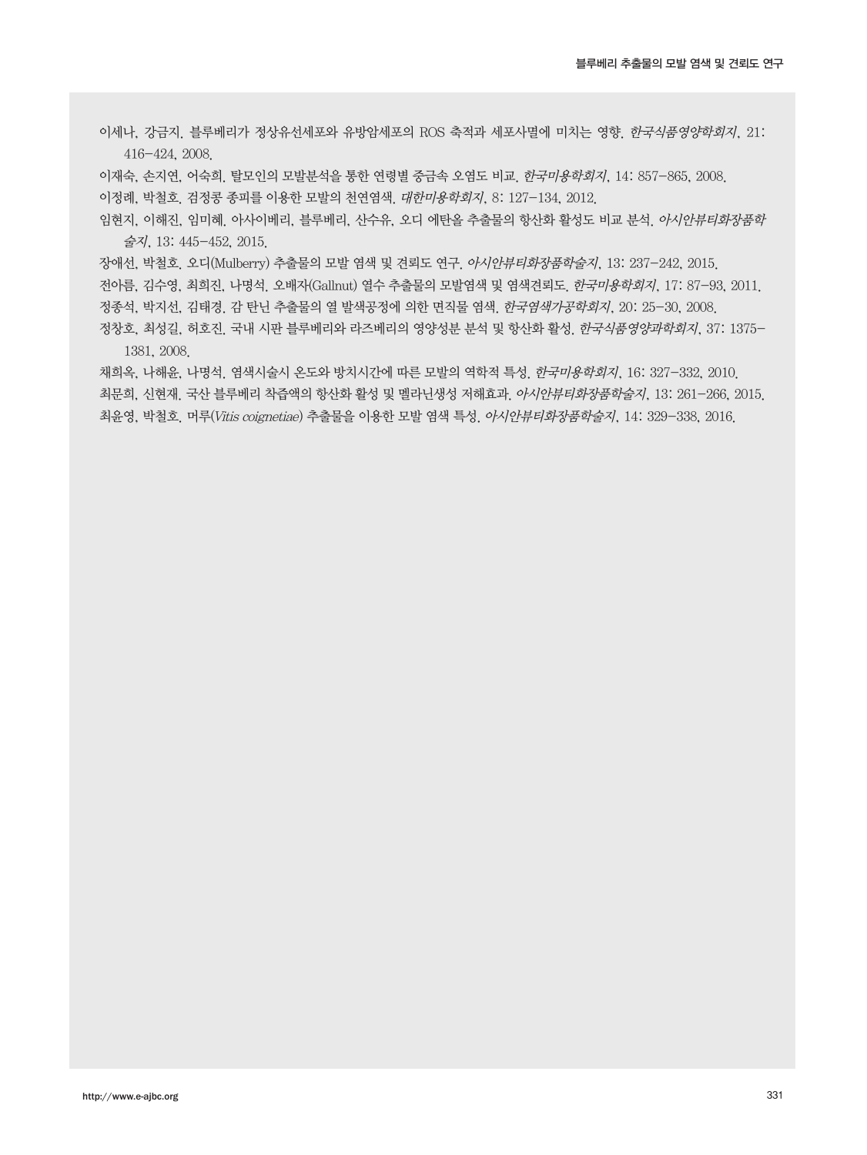이세나, 강금지. 블루베리가 정상유선세포와 유방암세포의 ROS 축적과 세포사멸에 미치는 영향. 한국식품영양학회지, 21: 416-424, 2008.

이재숙, 손지연, 어숙희. 탈모인의 모발분석을 통한 연령별 중금속 오염도 비교. 한국미용학회지, 14: 857-865, 2008. 이정례, 박철호. 검정콩 종피를 이용한 모발의 천연염색. 대한미용학회지, 8: 127-134, 2012.

임현지, 이해진, 임미혜. 아사이베리, 블루베리, 산수유, 오디 에탄올 추출물의 항산화 활성도 비교 분석. 아시안뷰티화장품학 술지, 13: 445-452, 2015.

장애선, 박철호. 오디(Mulberry) 추출물의 모발 염색 및 견뢰도 연구. 아시안뷰티화장품학술지, 13: 237-242, 2015.

전아름, 김수영, 최희진, 나명석. 오배자(Gallnut) 열수 추출물의 모발염색 및 염색견뢰도. 한국미용학회지, 17: 87-93, 2011.

정종석, 박지선, 김태경. 감 탄닌 추출물의 열 발색공정에 의한 면직물 염색. 한국염색가공학회지, 20: 25-30, 2008.

정창호, 최성길, 허호진. 국내 시판 블루베리와 라즈베리의 영양성분 분석 및 항산화 활성. 한국식품영양과학회지, 37: 1375- 1381, 2008.

채희옥, 나해윤, 나명석, 염색시술시 온도와 방치시간에 따른 모발의 역학적 특성, *한국미용학회지*, 16: 327-332, 2010. 최문희, 신현재, 국산 블루베리 착즙액의 항산화 활성 및 멜라닌생성 저해효과. *아시안뷰티화장품학술지*, 13: 261-266, 2015. 최윤영, 박철호. 머루(Vitis coignetiae) 추출물을 이용한 모발 염색 특성. 아시안뷰티화장품학술지, 14: 329-338, 2016.